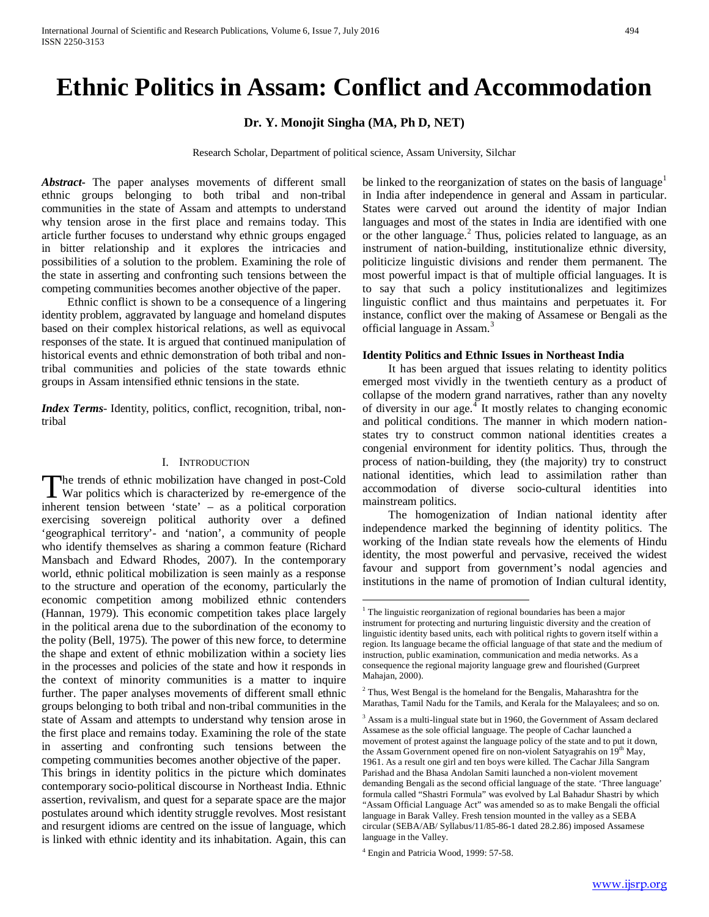# **Ethnic Politics in Assam: Conflict and Accommodation**

**Dr. Y. Monojit Singha (MA, Ph D, NET)**

Research Scholar, Department of political science, Assam University, Silchar

*Abstract***-** The paper analyses movements of different small ethnic groups belonging to both tribal and non-tribal communities in the state of Assam and attempts to understand why tension arose in the first place and remains today. This article further focuses to understand why ethnic groups engaged in bitter relationship and it explores the intricacies and possibilities of a solution to the problem. Examining the role of the state in asserting and confronting such tensions between the competing communities becomes another objective of the paper.

 Ethnic conflict is shown to be a consequence of a lingering identity problem, aggravated by language and homeland disputes based on their complex historical relations, as well as equivocal responses of the state. It is argued that continued manipulation of historical events and ethnic demonstration of both tribal and nontribal communities and policies of the state towards ethnic groups in Assam intensified ethnic tensions in the state.

*Index Terms*- Identity, politics, conflict, recognition, tribal, nontribal

## I. INTRODUCTION

<span id="page-0-4"></span><span id="page-0-2"></span><span id="page-0-1"></span><span id="page-0-0"></span>he trends of ethnic mobilization have changed in post-Cold The trends of ethnic mobilization have changed in post-Cold War politics which is characterized by re-emergence of the inherent tension between 'state' – as a political corporation exercising sovereign political authority over a defined 'geographical territory'- and 'nation', a community of people who identify themselves as sharing a common feature (Richard Mansbach and Edward Rhodes, 2007). In the contemporary world, ethnic political mobilization is seen mainly as a response to the structure and operation of the economy, particularly the economic competition among mobilized ethnic contenders (Hannan, 1979). This economic competition takes place largely in the political arena due to the subordination of the economy to the polity (Bell, 1975). The power of this new force, to determine the shape and extent of ethnic mobilization within a society lies in the processes and policies of the state and how it responds in the context of minority communities is a matter to inquire further. The paper analyses movements of different small ethnic groups belonging to both tribal and non-tribal communities in the state of Assam and attempts to understand why tension arose in the first place and remains today. Examining the role of the state in asserting and confronting such tensions between the competing communities becomes another objective of the paper. This brings in identity politics in the picture which dominates contemporary socio-political discourse in Northeast India. Ethnic assertion, revivalism, and quest for a separate space are the major postulates around which identity struggle revolves. Most resistant and resurgent idioms are centred on the issue of language, which is linked with ethnic identity and its inhabitation. Again, this can

be linked to the reorganization of states on the basis of language<sup>[1](#page-0-0)</sup> in India after independence in general and Assam in particular. States were carved out around the identity of major Indian languages and most of the states in India are identified with one or the other language.<sup>[2](#page-0-1)</sup> Thus, policies related to language, as an instrument of nation-building, institutionalize ethnic diversity, politicize linguistic divisions and render them permanent. The most powerful impact is that of multiple official languages. It is to say that such a policy institutionalizes and legitimizes linguistic conflict and thus maintains and perpetuates it. For instance, conflict over the making of Assamese or Bengali as the official language in Assam.<sup>[3](#page-0-2)</sup>

### **Identity Politics and Ethnic Issues in Northeast India**

 It has been argued that issues relating to identity politics emerged most vividly in the twentieth century as a product of collapse of the modern grand narratives, rather than any novelty of diversity in our age.<sup>[4](#page-0-3)</sup> It mostly relates to changing economic and political conditions. The manner in which modern nationstates try to construct common national identities creates a congenial environment for identity politics. Thus, through the process of nation-building, they (the majority) try to construct national identities, which lead to assimilation rather than accommodation of diverse socio-cultural identities into mainstream politics.

 The homogenization of Indian national identity after independence marked the beginning of identity politics. The working of the Indian state reveals how the elements of Hindu identity, the most powerful and pervasive, received the widest favour and support from government's nodal agencies and institutions in the name of promotion of Indian cultural identity,

 $1$  The linguistic reorganization of regional boundaries has been a major instrument for protecting and nurturing linguistic diversity and the creation of linguistic identity based units, each with political rights to govern itself within a region. Its language became the official language of that state and the medium of instruction, public examination, communication and media networks. As a consequence the regional majority language grew and flourished (Gurpreet Mahajan, 2000).

 $2$  Thus, West Bengal is the homeland for the Bengalis, Maharashtra for the Marathas, Tamil Nadu for the Tamils, and Kerala for the Malayalees; and so on.

<sup>&</sup>lt;sup>3</sup> Assam is a multi-lingual state but in 1960, the Government of Assam declared Assamese as the sole official language. The people of Cachar launched a movement of protest against the language policy of the state and to put it down, the Assam Government opened fire on non-violent Satyagrahis on 19<sup>th</sup> May, 1961. As a result one girl and ten boys were killed. The Cachar Jilla Sangram Parishad and the Bhasa Andolan Samiti launched a non-violent movement demanding Bengali as the second official language of the state. 'Three language' formula called "Shastri Formula" was evolved by Lal Bahadur Shastri by which "Assam Official Language Act" was amended so as to make Bengali the official language in Barak Valley. Fresh tension mounted in the valley as a SEBA circular (SEBA/AB/ Syllabus/11/85-86-1 dated 28.2.86) imposed Assamese language in the Valley.

<span id="page-0-3"></span><sup>4</sup> Engin and Patricia Wood, 1999: 57-58.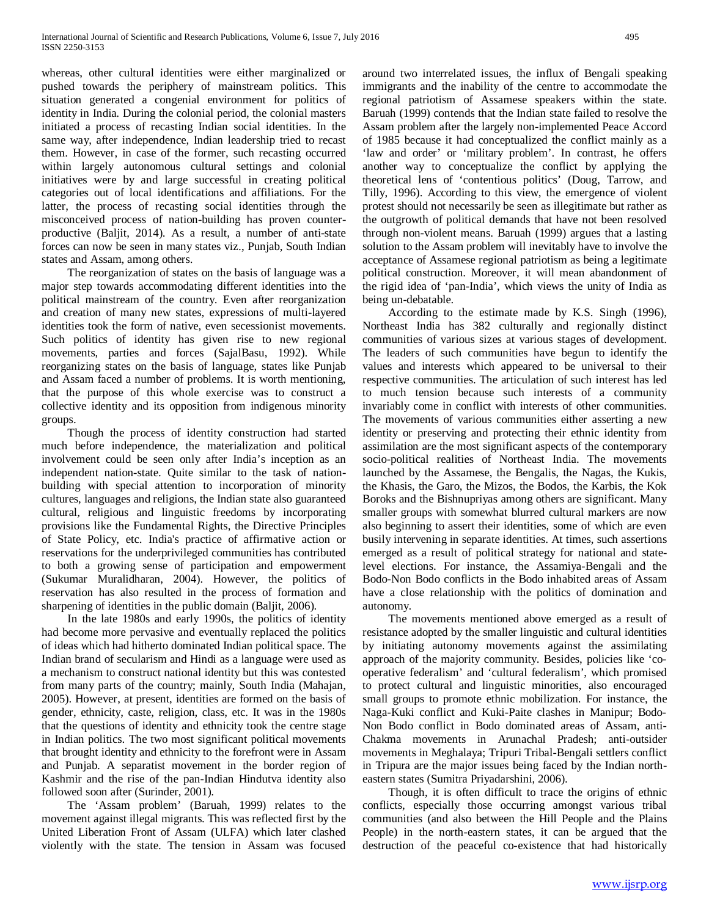whereas, other cultural identities were either marginalized or pushed towards the periphery of mainstream politics. This situation generated a congenial environment for politics of identity in India. During the colonial period, the colonial masters initiated a process of recasting Indian social identities. In the same way, after independence, Indian leadership tried to recast them. However, in case of the former, such recasting occurred within largely autonomous cultural settings and colonial initiatives were by and large successful in creating political categories out of local identifications and affiliations. For the latter, the process of recasting social identities through the misconceived process of nation-building has proven counterproductive (Baljit, 2014). As a result, a number of anti-state forces can now be seen in many states viz., Punjab, South Indian states and Assam, among others.

 The reorganization of states on the basis of language was a major step towards accommodating different identities into the political mainstream of the country. Even after reorganization and creation of many new states, expressions of multi-layered identities took the form of native, even secessionist movements. Such politics of identity has given rise to new regional movements, parties and forces (SajalBasu, 1992). While reorganizing states on the basis of language, states like Punjab and Assam faced a number of problems. It is worth mentioning, that the purpose of this whole exercise was to construct a collective identity and its opposition from indigenous minority groups.

 Though the process of identity construction had started much before independence, the materialization and political involvement could be seen only after India's inception as an independent nation-state. Quite similar to the task of nationbuilding with special attention to incorporation of minority cultures, languages and religions, the Indian state also guaranteed cultural, religious and linguistic freedoms by incorporating provisions like the Fundamental Rights, the Directive Principles of State Policy, etc. India's practice of affirmative action or reservations for the underprivileged communities has contributed to both a growing sense of participation and empowerment (Sukumar Muralidharan, 2004). However, the politics of reservation has also resulted in the process of formation and sharpening of identities in the public domain (Baljit, 2006).

 In the late 1980s and early 1990s, the politics of identity had become more pervasive and eventually replaced the politics of ideas which had hitherto dominated Indian political space. The Indian brand of secularism and Hindi as a language were used as a mechanism to construct national identity but this was contested from many parts of the country; mainly, South India (Mahajan, 2005). However, at present, identities are formed on the basis of gender, ethnicity, caste, religion, class, etc. It was in the 1980s that the questions of identity and ethnicity took the centre stage in Indian politics. The two most significant political movements that brought identity and ethnicity to the forefront were in Assam and Punjab. A separatist movement in the border region of Kashmir and the rise of the pan-Indian Hindutva identity also followed soon after (Surinder, 2001).

 The 'Assam problem' (Baruah, 1999) relates to the movement against illegal migrants. This was reflected first by the United Liberation Front of Assam (ULFA) which later clashed violently with the state. The tension in Assam was focused

around two interrelated issues, the influx of Bengali speaking immigrants and the inability of the centre to accommodate the regional patriotism of Assamese speakers within the state. Baruah (1999) contends that the Indian state failed to resolve the Assam problem after the largely non-implemented Peace Accord of 1985 because it had conceptualized the conflict mainly as a 'law and order' or 'military problem'. In contrast, he offers another way to conceptualize the conflict by applying the theoretical lens of 'contentious politics' (Doug, Tarrow, and Tilly, 1996). According to this view, the emergence of violent protest should not necessarily be seen as illegitimate but rather as the outgrowth of political demands that have not been resolved through non-violent means. Baruah (1999) argues that a lasting solution to the Assam problem will inevitably have to involve the acceptance of Assamese regional patriotism as being a legitimate political construction. Moreover, it will mean abandonment of the rigid idea of 'pan-India', which views the unity of India as being un-debatable.

 According to the estimate made by K.S. Singh (1996), Northeast India has 382 culturally and regionally distinct communities of various sizes at various stages of development. The leaders of such communities have begun to identify the values and interests which appeared to be universal to their respective communities. The articulation of such interest has led to much tension because such interests of a community invariably come in conflict with interests of other communities. The movements of various communities either asserting a new identity or preserving and protecting their ethnic identity from assimilation are the most significant aspects of the contemporary socio-political realities of Northeast India. The movements launched by the Assamese, the Bengalis, the Nagas, the Kukis, the Khasis, the Garo, the Mizos, the Bodos, the Karbis, the Kok Boroks and the Bishnupriyas among others are significant. Many smaller groups with somewhat blurred cultural markers are now also beginning to assert their identities, some of which are even busily intervening in separate identities. At times, such assertions emerged as a result of political strategy for national and statelevel elections. For instance, the Assamiya-Bengali and the Bodo-Non Bodo conflicts in the Bodo inhabited areas of Assam have a close relationship with the politics of domination and autonomy.

 The movements mentioned above emerged as a result of resistance adopted by the smaller linguistic and cultural identities by initiating autonomy movements against the assimilating approach of the majority community. Besides, policies like 'cooperative federalism' and 'cultural federalism', which promised to protect cultural and linguistic minorities, also encouraged small groups to promote ethnic mobilization. For instance, the Naga-Kuki conflict and Kuki-Paite clashes in Manipur; Bodo-Non Bodo conflict in Bodo dominated areas of Assam, anti-Chakma movements in Arunachal Pradesh; anti-outsider movements in Meghalaya; Tripuri Tribal-Bengali settlers conflict in Tripura are the major issues being faced by the Indian northeastern states (Sumitra Priyadarshini, 2006).

 Though, it is often difficult to trace the origins of ethnic conflicts, especially those occurring amongst various tribal communities (and also between the Hill People and the Plains People) in the north-eastern states, it can be argued that the destruction of the peaceful co-existence that had historically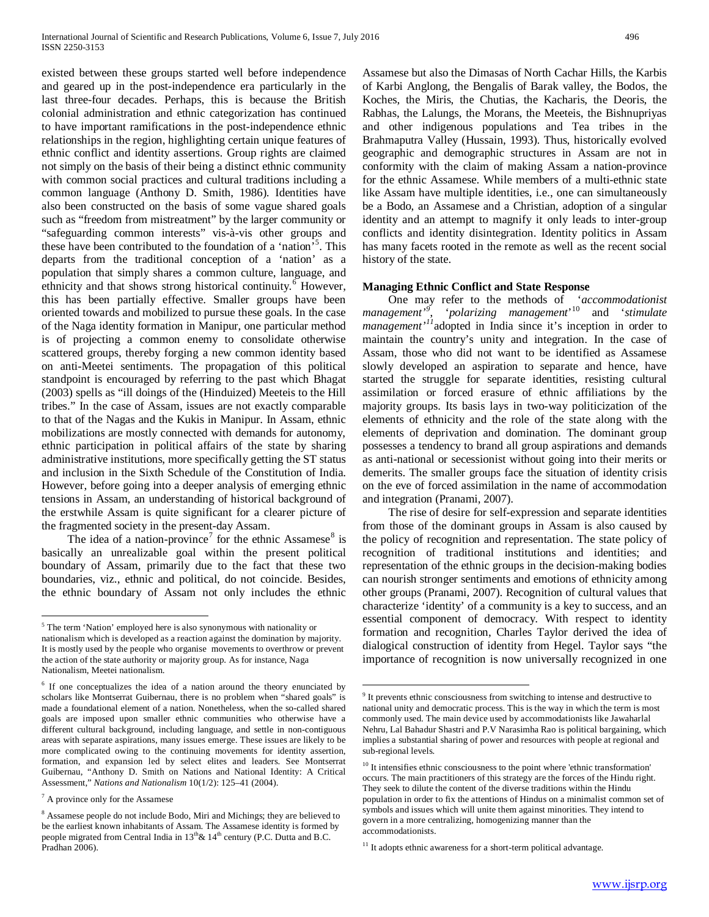existed between these groups started well before independence and geared up in the post-independence era particularly in the last three-four decades. Perhaps, this is because the British colonial administration and ethnic categorization has continued to have important ramifications in the post-independence ethnic relationships in the region, highlighting certain unique features of ethnic conflict and identity assertions. Group rights are claimed not simply on the basis of their being a distinct ethnic community with common social practices and cultural traditions including a common language (Anthony D. Smith, 1986). Identities have also been constructed on the basis of some vague shared goals such as "freedom from mistreatment" by the larger community or "safeguarding common interests" vis-à-vis other groups and these have been contributed to the foundation of a 'nation<sup>[5](#page-0-4)5</sup>. This departs from the traditional conception of a 'nation' as a population that simply shares a common culture, language, and ethnicity and that shows strong historical continuity.<sup>[6](#page-2-0)</sup> However, this has been partially effective. Smaller groups have been oriented towards and mobilized to pursue these goals. In the case of the Naga identity formation in Manipur, one particular method is of projecting a common enemy to consolidate otherwise scattered groups, thereby forging a new common identity based on anti-Meetei sentiments. The propagation of this political standpoint is encouraged by referring to the past which Bhagat (2003) spells as "ill doings of the (Hinduized) Meeteis to the Hill tribes." In the case of Assam, issues are not exactly comparable to that of the Nagas and the Kukis in Manipur. In Assam, ethnic mobilizations are mostly connected with demands for autonomy, ethnic participation in political affairs of the state by sharing administrative institutions, more specifically getting the ST status and inclusion in the Sixth Schedule of the Constitution of India. However, before going into a deeper analysis of emerging ethnic tensions in Assam, an understanding of historical background of the erstwhile Assam is quite significant for a clearer picture of the fragmented society in the present-day Assam.

The idea of a nation-province<sup>[7](#page-2-1)</sup> for the ethnic Assamese<sup>[8](#page-2-2)</sup> is basically an unrealizable goal within the present political boundary of Assam, primarily due to the fact that these two boundaries, viz., ethnic and political, do not coincide. Besides, the ethnic boundary of Assam not only includes the ethnic

Assamese but also the Dimasas of North Cachar Hills, the Karbis of Karbi Anglong, the Bengalis of Barak valley, the Bodos, the Koches, the Miris, the Chutias, the Kacharis, the Deoris, the Rabhas, the Lalungs, the Morans, the Meeteis, the Bishnupriyas and other indigenous populations and Tea tribes in the Brahmaputra Valley (Hussain, 1993). Thus, historically evolved geographic and demographic structures in Assam are not in conformity with the claim of making Assam a nation-province for the ethnic Assamese. While members of a multi-ethnic state like Assam have multiple identities, i.e., one can simultaneously be a Bodo, an Assamese and a Christian, adoption of a singular identity and an attempt to magnify it only leads to inter-group conflicts and identity disintegration. Identity politics in Assam has many facets rooted in the remote as well as the recent social history of the state.

#### **Managing Ethnic Conflict and State Response**

 One may refer to the methods of '*accommodationist management'[9](#page-2-3)* , '*polarizing management*' [10](#page-2-4) and '*stimulate management'[11](#page-2-5)*adopted in India since it's inception in order to maintain the country's unity and integration. In the case of Assam, those who did not want to be identified as Assamese slowly developed an aspiration to separate and hence, have started the struggle for separate identities, resisting cultural assimilation or forced erasure of ethnic affiliations by the majority groups. Its basis lays in two-way politicization of the elements of ethnicity and the role of the state along with the elements of deprivation and domination. The dominant group possesses a tendency to brand all group aspirations and demands as anti-national or secessionist without going into their merits or demerits. The smaller groups face the situation of identity crisis on the eve of forced assimilation in the name of accommodation and integration (Pranami, 2007).

 The rise of desire for self-expression and separate identities from those of the dominant groups in Assam is also caused by the policy of recognition and representation. The state policy of recognition of traditional institutions and identities; and representation of the ethnic groups in the decision-making bodies can nourish stronger sentiments and emotions of ethnicity among other groups (Pranami, 2007). Recognition of cultural values that characterize 'identity' of a community is a key to success, and an essential component of democracy. With respect to identity formation and recognition, Charles Taylor derived the idea of dialogical construction of identity from Hegel. Taylor says "the importance of recognition is now universally recognized in one

<sup>&</sup>lt;sup>5</sup> The term 'Nation' employed here is also synonymous with nationality or nationalism which is developed as a reaction against the domination by majority. It is mostly used by the people who organise movements to overthrow or prevent the action of the state authority or majority group. As for instance, Naga Nationalism, Meetei nationalism.

<span id="page-2-3"></span><span id="page-2-0"></span><sup>6</sup> If one conceptualizes the idea of a nation around the theory enunciated by scholars like Montserrat Guibernau, there is no problem when "shared goals" is made a foundational element of a nation. Nonetheless, when the so-called shared goals are imposed upon smaller ethnic communities who otherwise have a different cultural background, including language, and settle in non-contiguous areas with separate aspirations, many issues emerge. These issues are likely to be more complicated owing to the continuing movements for identity assertion, formation, and expansion led by select elites and leaders. See Montserrat Guibernau, "Anthony D. Smith on Nations and National Identity: A Critical Assessment," *Nations and Nationalism* 10(1/2): 125–41 (2004).

<span id="page-2-4"></span><span id="page-2-1"></span><sup>7</sup> A province only for the Assamese

<span id="page-2-5"></span><span id="page-2-2"></span><sup>8</sup> Assamese people do not include Bodo, Miri and Michings; they are believed to be the earliest known inhabitants of Assam. The Assamese identity is formed by people migrated from Central India in  $13<sup>th</sup> \& 14<sup>th</sup>$  century (P.C. Dutta and B.C. Pradhan 2006).

<sup>&</sup>lt;sup>9</sup> It prevents ethnic consciousness from switching to intense and destructive to national unity and democratic process. This is the way in which the term is most commonly used. The main device used by accommodationists like Jawaharlal Nehru, Lal Bahadur Shastri and P.V Narasimha Rao is political bargaining, which implies a substantial sharing of power and resources with people at regional and sub-regional levels.

<sup>&</sup>lt;sup>10</sup> It intensifies ethnic consciousness to the point where 'ethnic transformation' occurs. The main practitioners of this strategy are the forces of the Hindu right. They seek to dilute the content of the diverse traditions within the Hindu population in order to fix the attentions of Hindus on a minimalist common set of symbols and issues which will unite them against minorities. They intend to govern in a more centralizing, homogenizing manner than the accommodationists.

 $11$  It adopts ethnic awareness for a short-term political advantage.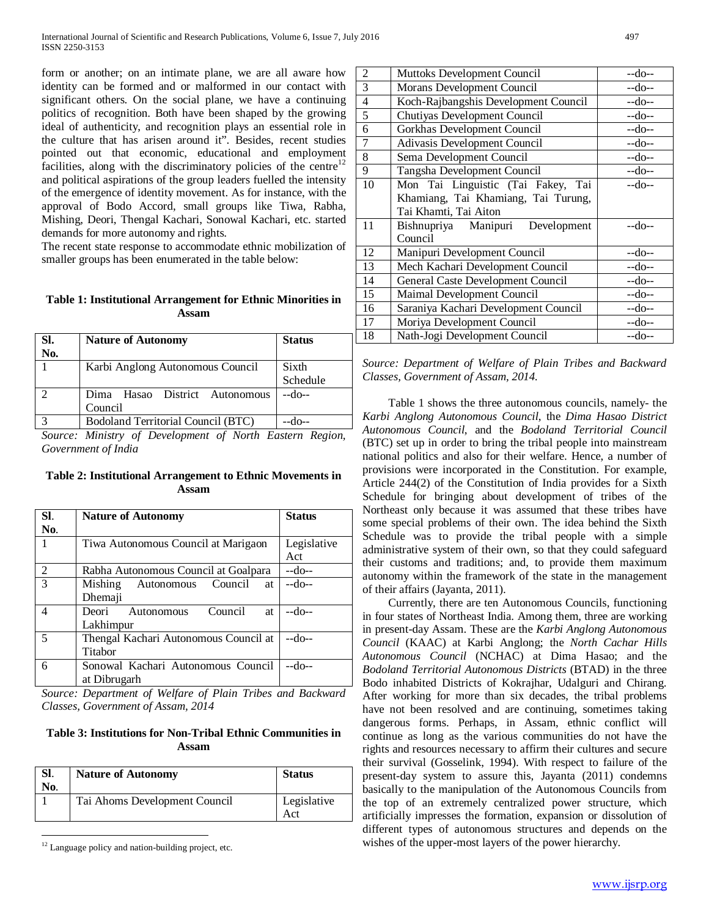form or another; on an intimate plane, we are all aware how identity can be formed and or malformed in our contact with significant others. On the social plane, we have a continuing politics of recognition. Both have been shaped by the growing ideal of authenticity, and recognition plays an essential role in the culture that has arisen around it". Besides, recent studies pointed out that economic, educational and employment facilities, along with the discriminatory policies of the centre $12$ and political aspirations of the group leaders fuelled the intensity of the emergence of identity movement. As for instance, with the approval of Bodo Accord, small groups like Tiwa, Rabha, Mishing, Deori, Thengal Kachari, Sonowal Kachari, etc. started demands for more autonomy and rights.

The recent state response to accommodate ethnic mobilization of smaller groups has been enumerated in the table below:

# **Table 1: Institutional Arrangement for Ethnic Minorities in Assam**

| SI.<br>No. | <b>Nature of Autonomy</b>          | <b>Status</b> |
|------------|------------------------------------|---------------|
|            | Karbi Anglong Autonomous Council   | Sixth         |
|            |                                    | Schedule      |
|            | Hasao District Autonomous<br>Dima  | $-do-$        |
|            | Council                            |               |
|            | Bodoland Territorial Council (BTC) |               |

*Source: Ministry of Development of North Eastern Region, Government of India*

**Table 2: Institutional Arrangement to Ethnic Movements in Assam**

| SI.            | <b>Nature of Autonomy</b>             | <b>Status</b> |
|----------------|---------------------------------------|---------------|
| No.            |                                       |               |
|                | Tiwa Autonomous Council at Marigaon   | Legislative   |
|                |                                       | Act           |
| 2              | Rabha Autonomous Council at Goalpara  | --do--        |
| $\overline{3}$ | Mishing<br>Autonomous Council<br>at   | --do--        |
|                | Dhemaji                               |               |
| 4              | Council<br>Deori Autonomous<br>at     | --do--        |
|                | Lakhimpur                             |               |
| 5              | Thengal Kachari Autonomous Council at | --do--        |
|                | Titabor                               |               |
| 6              | Sonowal Kachari Autonomous Council    | --do--        |
|                | at Dibrugarh                          |               |

<span id="page-3-0"></span>*Source: Department of Welfare of Plain Tribes and Backward Classes, Government of Assam, 2014*

# **Table 3: Institutions for Non-Tribal Ethnic Communities in Assam**

| SI.<br>No. | <b>Nature of Autonomy</b>     | <b>Status</b>      |
|------------|-------------------------------|--------------------|
|            | Tai Ahoms Development Council | Legislative<br>Act |

 $12$  Language policy and nation-building project, etc.

| 2  | Muttoks Development Council          | --do-- |
|----|--------------------------------------|--------|
| 3  | Morans Development Council           | --do-- |
| 4  | Koch-Rajbangshis Development Council | --do-- |
| 5  | Chutiyas Development Council         | $-do-$ |
| 6  | Gorkhas Development Council          | --do-- |
| 7  | Adivasis Development Council         | --do-- |
| 8  | Sema Development Council             | --do-- |
| 9  | Tangsha Development Council          | --do-- |
| 10 | Mon Tai Linguistic (Tai Fakey, Tai   | $-do-$ |
|    | Khamiang, Tai Khamiang, Tai Turung,  |        |
|    | Tai Khamti, Tai Aiton                |        |
| 11 | Bishnupriya Manipuri Development     | --do-- |
|    | Council                              |        |
| 12 | Manipuri Development Council         | --do-- |
| 13 | Mech Kachari Development Council     | --do-- |
| 14 | General Caste Development Council    | --do-- |
| 15 | Maimal Development Council           | --do-- |
| 16 | Saraniya Kachari Development Council | $-do-$ |
| 17 | Moriya Development Council           | --do-- |
| 18 | Nath-Jogi Development Council        | $-do-$ |

*Source: Department of Welfare of Plain Tribes and Backward Classes, Government of Assam, 2014.*

 Table 1 shows the three autonomous councils, namely- the *Karbi Anglong Autonomous Council*, the *Dima Hasao District Autonomous Council*, and the *Bodoland Territorial Council* (BTC) set up in order to bring the tribal people into mainstream national politics and also for their welfare. Hence, a number of provisions were incorporated in the Constitution. For example, Article 244(2) of the Constitution of India provides for a Sixth Schedule for bringing about development of tribes of the Northeast only because it was assumed that these tribes have some special problems of their own. The idea behind the Sixth Schedule was to provide the tribal people with a simple administrative system of their own, so that they could safeguard their customs and traditions; and, to provide them maximum autonomy within the framework of the state in the management of their affairs (Jayanta, 2011).

 Currently, there are ten Autonomous Councils, functioning in four states of Northeast India. Among them, three are working in present-day Assam. These are the *Karbi Anglong Autonomous Council* (KAAC) at Karbi Anglong; the *North Cachar Hills Autonomous Council* (NCHAC) at Dima Hasao; and the *Bodoland Territorial Autonomous Districts* (BTAD) in the three Bodo inhabited Districts of Kokrajhar, Udalguri and Chirang. After working for more than six decades, the tribal problems have not been resolved and are continuing, sometimes taking dangerous forms. Perhaps, in Assam, ethnic conflict will continue as long as the various communities do not have the rights and resources necessary to affirm their cultures and secure their survival (Gosselink, 1994). With respect to failure of the present-day system to assure this, Jayanta (2011) condemns basically to the manipulation of the Autonomous Councils from the top of an extremely centralized power structure, which artificially impresses the formation, expansion or dissolution of different types of autonomous structures and depends on the wishes of the upper-most layers of the power hierarchy.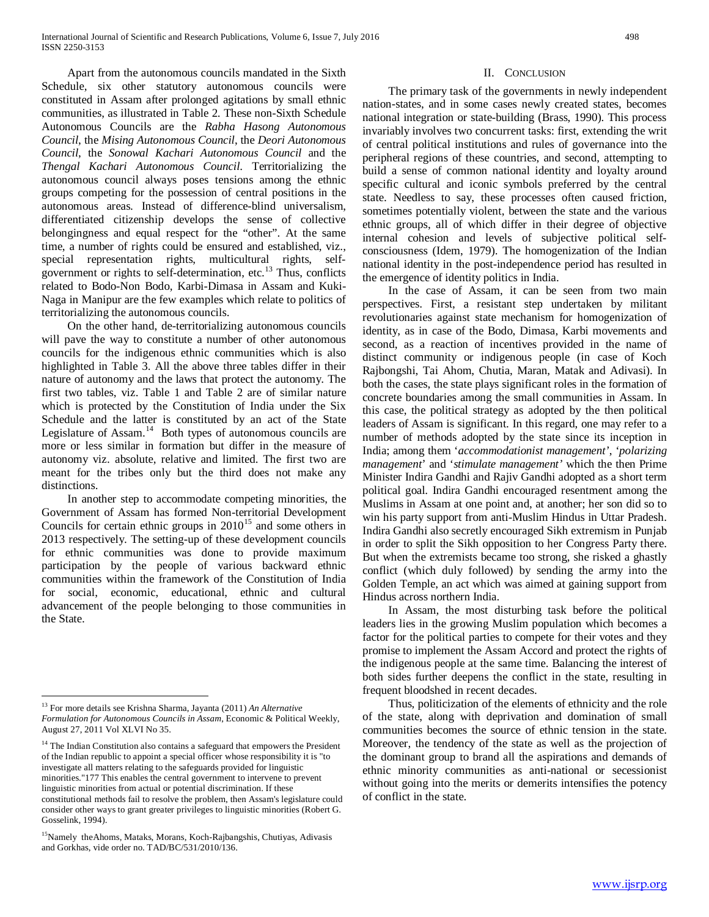Apart from the autonomous councils mandated in the Sixth Schedule, six other statutory autonomous councils were constituted in Assam after prolonged agitations by small ethnic communities, as illustrated in Table 2. These non-Sixth Schedule Autonomous Councils are the *Rabha Hasong Autonomous Council*, the *Mising Autonomous Council*, the *Deori Autonomous Council*, the *Sonowal Kachari Autonomous Council* and the *Thengal Kachari Autonomous Council*. Territorializing the autonomous council always poses tensions among the ethnic groups competing for the possession of central positions in the autonomous areas. Instead of difference-blind universalism, differentiated citizenship develops the sense of collective belongingness and equal respect for the "other". At the same time, a number of rights could be ensured and established, viz., special representation rights, multicultural rights, selfgovernment or rights to self-determination, etc. $^{13}$  $^{13}$  $^{13}$  Thus, conflicts related to Bodo-Non Bodo, Karbi-Dimasa in Assam and Kuki-Naga in Manipur are the few examples which relate to politics of territorializing the autonomous councils.

 On the other hand, de-territorializing autonomous councils will pave the way to constitute a number of other autonomous councils for the indigenous ethnic communities which is also highlighted in Table 3. All the above three tables differ in their nature of autonomy and the laws that protect the autonomy. The first two tables, viz. Table 1 and Table 2 are of similar nature which is protected by the Constitution of India under the Six Schedule and the latter is constituted by an act of the State Legislature of Assam.<sup>14</sup> Both types of autonomous councils are more or less similar in formation but differ in the measure of autonomy viz. absolute, relative and limited. The first two are meant for the tribes only but the third does not make any distinctions.

 In another step to accommodate competing minorities, the Government of Assam has formed Non-territorial Development Councils for certain ethnic groups in  $2010^{15}$  $2010^{15}$  $2010^{15}$  and some others in 2013 respectively. The setting-up of these development councils for ethnic communities was done to provide maximum participation by the people of various backward ethnic communities within the framework of the Constitution of India for social, economic, educational, ethnic and cultural advancement of the people belonging to those communities in the State.

# II. CONCLUSION

 The primary task of the governments in newly independent nation-states, and in some cases newly created states, becomes national integration or state-building (Brass, 1990). This process invariably involves two concurrent tasks: first, extending the writ of central political institutions and rules of governance into the peripheral regions of these countries, and second, attempting to build a sense of common national identity and loyalty around specific cultural and iconic symbols preferred by the central state. Needless to say, these processes often caused friction, sometimes potentially violent, between the state and the various ethnic groups, all of which differ in their degree of objective internal cohesion and levels of subjective political selfconsciousness (Idem, 1979). The homogenization of the Indian national identity in the post-independence period has resulted in the emergence of identity politics in India.

 In the case of Assam, it can be seen from two main perspectives. First, a resistant step undertaken by militant revolutionaries against state mechanism for homogenization of identity, as in case of the Bodo, Dimasa, Karbi movements and second, as a reaction of incentives provided in the name of distinct community or indigenous people (in case of Koch Rajbongshi, Tai Ahom, Chutia, Maran, Matak and Adivasi). In both the cases, the state plays significant roles in the formation of concrete boundaries among the small communities in Assam. In this case, the political strategy as adopted by the then political leaders of Assam is significant. In this regard, one may refer to a number of methods adopted by the state since its inception in India; among them '*accommodationist management'*, '*polarizing management*' and '*stimulate management'* which the then Prime Minister Indira Gandhi and Rajiv Gandhi adopted as a short term political goal. Indira Gandhi encouraged resentment among the Muslims in Assam at one point and, at another; her son did so to win his party support from anti-Muslim Hindus in Uttar Pradesh. Indira Gandhi also secretly encouraged Sikh extremism in Punjab in order to split the Sikh opposition to her Congress Party there. But when the extremists became too strong, she risked a ghastly conflict (which duly followed) by sending the army into the Golden Temple, an act which was aimed at gaining support from Hindus across northern India.

 In Assam, the most disturbing task before the political leaders lies in the growing Muslim population which becomes a factor for the political parties to compete for their votes and they promise to implement the Assam Accord and protect the rights of the indigenous people at the same time. Balancing the interest of both sides further deepens the conflict in the state, resulting in frequent bloodshed in recent decades.

 Thus, politicization of the elements of ethnicity and the role of the state, along with deprivation and domination of small communities becomes the source of ethnic tension in the state. Moreover, the tendency of the state as well as the projection of the dominant group to brand all the aspirations and demands of ethnic minority communities as anti-national or secessionist without going into the merits or demerits intensifies the potency of conflict in the state.

 <sup>13</sup> For more details see Krishna Sharma, Jayanta (2011) *An Alternative Formulation for Autonomous Councils in Assam*, Economic & Political Weekly, August 27, 2011 Vol XLVI No 35.

<span id="page-4-0"></span><sup>&</sup>lt;sup>14</sup> The Indian Constitution also contains a safeguard that empowers the President of the Indian republic to appoint a special officer whose responsibility it is "to investigate all matters relating to the safeguards provided for linguistic minorities."177 This enables the central government to intervene to prevent linguistic minorities from actual or potential discrimination. If these constitutional methods fail to resolve the problem, then Assam's legislature could consider other ways to grant greater privileges to linguistic minorities (Robert G. Gosselink, 1994).

<span id="page-4-1"></span><sup>&</sup>lt;sup>15</sup>Namely theAhoms, Mataks, Morans, Koch-Rajbangshis, Chutiyas, Adivasis and Gorkhas, vide order no. TAD/BC/531/2010/136.